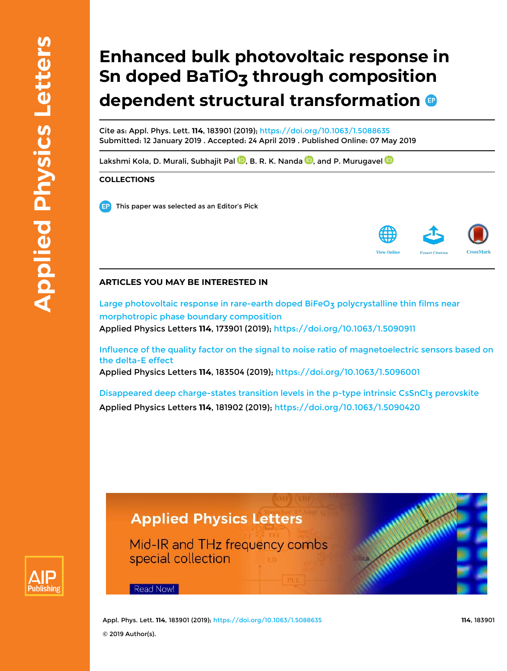# **Enhanced bulk photovoltaic response in Sn doped BaTiO<sub>3</sub> through composition dependent structural transformation**

Cite as: Appl. Phys. Lett. **114**, 183901 (2019); https://doi.org/10.1063/1.5088635 Submitted: 12 January 2019 . Accepted: 24 April 2019 . Published Online: 07 May 2019

Lakshmi Kola, D. Murali, Subhajit Pal  $\overline{\mathbb{D}}$ , B. R. K. Nanda  $\overline{\mathbb{D}}$ , and P. Murugavel  $\overline{\mathbb{D}}$ 

### **COLLECTIONS**

This paper was selected as an Editor's Pick



### **ARTICLES YOU MAY BE INTERESTED IN**

Large photovoltaic response in rare-earth doped BiFeO<sub>3</sub> polycrystalline thin films near morphotropic phase boundary composition Applied Physics Letters **114**, 173901 (2019); https://doi.org/10.1063/1.5090911

Influence of the quality factor on the signal to noise ratio of magnetoelectric sensors based on the delta-E effect Applied Physics Letters **114**, 183504 (2019); https://doi.org/10.1063/1.5096001

Disappeared deep charge-states transition levels in the p-type intrinsic CsSnClz perovskite Applied Physics Letters **114**, 181902 (2019); https://doi.org/10.1063/1.5090420

## **Applied Physics Letters**

Mid-IR and THz frequency combs special collection



Read Now!

Appl. Phys. Lett. **114**, 183901 (2019); https://doi.org/10.1063/1.5088635 **114**, 183901 © 2019 Author(s).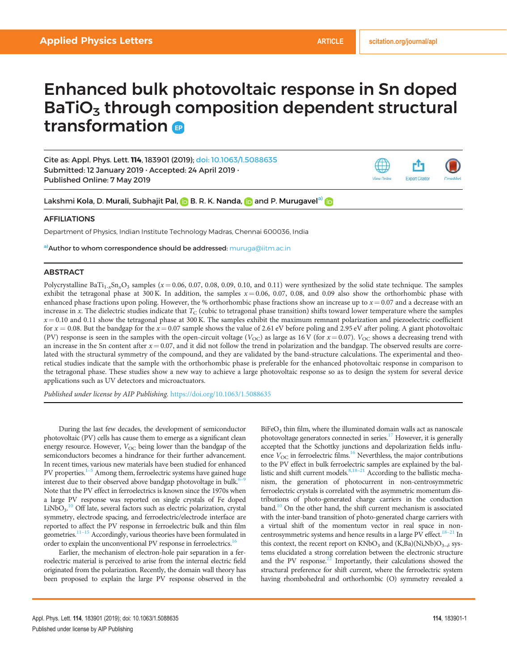**Export Citatio** 

View Online

# Enhanced bulk photovoltaic response in Sn doped  $BaTiO<sub>3</sub>$  through composition dependent structural transformation

Cite as: Appl. Phys. Lett. 114, 183901 (2019); doi: 10.1063/1.5088635 Submitted: 12 January 2019 . Accepted: 24 April 2019 . Published Online: 7 May 2019

Lakshmi Kola, D. Murali, Subhajit Pal, **D** B. R. K. Nanda, **D** and P. Murugavel<sup>a)</sup> D

### AFFILIATIONS

Department of Physics, Indian Institute Technology Madras, Chennai 600036, India

a) **Author to whom correspondence should be addressed:** muruga@iitm.ac.in

### ABSTRACT

Polycrystalline BaTi<sub>1-x</sub>Sn<sub>x</sub>O<sub>3</sub> samples ( $x = 0.06$ , 0.07, 0.08, 0.09, 0.10, and 0.11) were synthesized by the solid state technique. The samples exhibit the tetragonal phase at 300 K. In addition, the samples  $x = 0.06, 0.07, 0.08,$  and 0.09 also show the orthorhombic phase with enhanced phase fractions upon poling. However, the % orthorhombic phase fractions show an increase up to  $x = 0.07$  and a decrease with an increase in x. The dielectric studies indicate that  $T_{\rm C}$  (cubic to tetragonal phase transition) shifts toward lower temperature where the samples  $x = 0.10$  and 0.11 show the tetragonal phase at 300 K. The samples exhibit the maximum remnant polarization and piezoelectric coefficient for  $x = 0.08$ . But the bandgap for the  $x = 0.07$  sample shows the value of 2.61 eV before poling and 2.95 eV after poling. A giant photovoltaic (PV) response is seen in the samples with the open-circuit voltage ( $V_{\text{OC}}$ ) as large as 16 V (for  $x = 0.07$ ).  $V_{\text{OC}}$  shows a decreasing trend with an increase in the Sn content after  $x = 0.07$ , and it did not follow the trend in polarization and the bandgap. The observed results are correlated with the structural symmetry of the compound, and they are validated by the band-structure calculations. The experimental and theoretical studies indicate that the sample with the orthorhombic phase is preferable for the enhanced photovoltaic response in comparison to the tetragonal phase. These studies show a new way to achieve a large photovoltaic response so as to design the system for several device applications such as UV detectors and microactuators.

Published under license by AIP Publishing. https://doi.org/10.1063/1.5088635

During the last few decades, the development of semiconductor photovoltaic (PV) cells has cause them to emerge as a significant clean energy resource. However,  $V_{OC}$  being lower than the bandgap of the semiconductors becomes a hindrance for their further advancement. In recent times, various new materials have been studied for enhanced PV properties. $1-5$  Among them, ferroelectric systems have gained huge interest due to their observed above bandgap photovoltage in bulk.<sup>6</sup> Note that the PV effect in ferroelectrics is known since the 1970s when a large PV response was reported on single crystals of Fe doped LiNbO<sub>3</sub>.<sup>10</sup> Off late, several factors such as electric polarization, crystal symmetry, electrode spacing, and ferroelectric/electrode interface are reported to affect the PV response in ferroelectric bulk and thin film geometries.<sup>11-15</sup> Accordingly, various theories have been formulated in order to explain the unconventional PV response in ferroelectrics.<sup>1</sup>

Earlier, the mechanism of electron-hole pair separation in a ferroelectric material is perceived to arise from the internal electric field originated from the polarization. Recently, the domain wall theory has been proposed to explain the large PV response observed in the

 $B$ i $FeO<sub>3</sub>$  thin film, where the illuminated domain walls act as nanoscale photovoltage generators connected in series.<sup>17</sup> However, it is generally accepted that the Schottky junctions and depolarization fields influence  $V_{\text{OC}}$  in ferroelectric films.<sup>16</sup> Neverthless, the major contributions to the PV effect in bulk ferroelectric samples are explained by the ballistic and shift current models. $8,18-21$  According to the ballistic mechanism, the generation of photocurrent in non-centrosymmetric ferroelectric crystals is correlated with the asymmetric momentum distributions of photo-generated charge carriers in the conduction band.<sup>10</sup> On the other hand, the shift current mechanism is associated with the inter-band transition of photo-generated charge carriers with a virtual shift of the momentum vector in real space in noncentrosymmetric systems and hence results in a large PV effect.<sup>18–21</sup> In this context, the recent report on  $KNbO_3$  and  $(K, Ba)(Ni,Nb)O_{3-\delta}$  systems elucidated a strong correlation between the electronic structure and the PV response.<sup>22</sup> Importantly, their calculations showed the structural preference for shift current, where the ferroelectric system having rhombohedral and orthorhombic (O) symmetry revealed a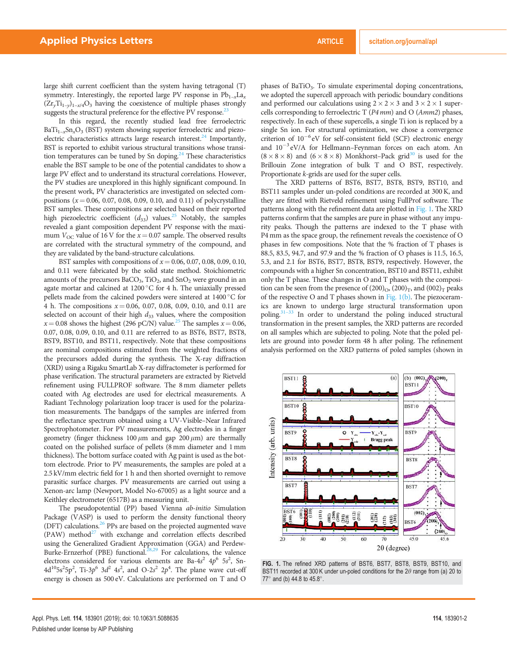large shift current coefficient than the system having tetragonal (T) symmetry. Interestingly, the reported large PV response in  $Pb_{1-x}La_x$  $(Zr_yTi_{1-y})_{1-x/4}O_3$  having the coexistence of multiple phases strongly suggests the structural preference for the effective PV response.<sup>23</sup>

In this regard, the recently studied lead free ferroelectric  $BaTi_{1-x}Sn_xO_3$  (BST) system showing superior ferroelectric and piezoelectric characteristics attracts large research interest. $^{24}$  Importantly, BST is reported to exhibit various structural transitions whose transition temperatures can be tuned by Sn doping.<sup>24</sup> These characteristics enable the BST sample to be one of the potential candidates to show a large PV effect and to understand its structural correlations. However, the PV studies are unexplored in this highly significant compound. In the present work, PV characteristics are investigated on selected compositions ( $x = 0.06, 0.07, 0.08, 0.09, 0.10,$  and 0.11) of polycrystalline BST samples. These compositions are selected based on their reported high piezoelectric coefficient  $(d_{33})$  values.<sup>25</sup> Notably, the samples revealed a giant composition dependent PV response with the maximum  $V_{\text{OC}}$  value of 16 V for the  $x = 0.07$  sample. The observed results are correlated with the structural symmetry of the compound, and they are validated by the band-structure calculations.

BST samples with compositions of  $x = 0.06, 0.07, 0.08, 0.09, 0.10$ , and 0.11 were fabricated by the solid state method. Stoichiometric amounts of the precursors  $BaCO_3$ ,  $TiO_2$ , and  $SnO_2$  were ground in an agate mortar and calcined at  $1200\,^{\circ}\text{C}$  for 4 h. The uniaxially pressed pellets made from the calcined powders were sintered at 1400 °C for 4 h. The compositions  $x = 0.06, 0.07, 0.08, 0.09, 0.10,$  and 0.11 are selected on account of their high  $d_{33}$  values, where the composition  $x = 0.08$  shows the highest (296 pC/N) value.<sup>25</sup> The samples  $x = 0.06$ , 0.07, 0.08, 0.09, 0.10, and 0.11 are referred to as BST6, BST7, BST8, BST9, BST10, and BST11, respectively. Note that these compositions are nominal compositions estimated from the weighted fractions of the precursors added during the synthesis. The X-ray diffraction (XRD) using a Rigaku SmartLab X-ray diffractometer is performed for phase verification. The structural parameters are extracted by Rietveld refinement using FULLPROF software. The 8 mm diameter pellets coated with Ag electrodes are used for electrical measurements. A Radiant Technology polarization loop tracer is used for the polarization measurements. The bandgaps of the samples are inferred from the reflectance spectrum obtained using a UV-Visible–Near Infrared Spectrophotometer. For PV measurements, Ag electrodes in a finger geometry (finger thickness 100  $\mu$ m and gap 200  $\mu$ m) are thermally coated on the polished surface of pellets (8 mm diameter and 1 mm thickness). The bottom surface coated with Ag paint is used as the bottom electrode. Prior to PV measurements, the samples are poled at a 2.5 kV/mm electric field for 1 h and then shorted overnight to remove parasitic surface charges. PV measurements are carried out using a Xenon-arc lamp (Newport, Model No-67005) as a light source and a Keithley electrometer (6517B) as a measuring unit.

The pseudopotential (PP) based Vienna ab-initio Simulation Package (VASP) is used to perform the density functional theory (DFT) calculations.<sup>26</sup> PPs are based on the projected augmented wave  $(PAW)$  method<sup>27</sup> with exchange and correlation effects described using the Generalized Gradient Approximation (GGA) and Perdew-Burke-Ernzerhof (PBE) functional.<sup>28,29</sup> For calculations, the valence electrons considered for various elements are Ba-4s<sup>2</sup>  $4p^6$  5s<sup>2</sup>, Sn- $4d^{10}5s^25p^2$ , Ti-3p<sup>6</sup> 3d<sup>2</sup> 4s<sup>2</sup>, and O-2s<sup>2</sup> 2p<sup>4</sup>. The plane wave cut-off energy is chosen as 500 eV. Calculations are performed on T and O

phases of BaTiO<sub>3</sub>. To simulate experimental doping concentrations, we adopted the supercell approach with periodic boundary conditions and performed our calculations using  $2 \times 2 \times 3$  and  $3 \times 2 \times 1$  supercells corresponding to ferroelectric T (P4 mm) and O (Amm2) phases, respectively. In each of these supercells, a single Ti ion is replaced by a single Sn ion. For structural optimization, we chose a convergence criterion of  $10^{-6}$  eV for self-consistent field (SCF) electronic energy and  $10^{-3}$  eV/A for Hellmann–Feynman forces on each atom. An  $(8 \times 8 \times 8)$  and  $(6 \times 8 \times 8)$  Monkhorst–Pack grid<sup>30</sup> is used for the Brillouin Zone integration of bulk T and O BST, respectively. Proportionate k-grids are used for the super cells.

The XRD patterns of BST6, BST7, BST8, BST9, BST10, and BST11 samples under un-poled conditions are recorded at 300 K, and they are fitted with Rietveld refinement using FullProf software. The patterns along with the refinement data are plotted in Fig. 1. The XRD patterns confirm that the samples are pure in phase without any impurity peaks. Though the patterns are indexed to the T phase with P4 mm as the space group, the refinement reveals the coexistence of O phases in few compositions. Note that the % fraction of T phases is 88.5, 83.5, 94.7, and 97.9 and the % fraction of O phases is 11.5, 16.5, 5.3, and 2.1 for BST6, BST7, BST8, BST9, respectively. However, the compounds with a higher Sn concentration, BST10 and BST11, exhibit only the T phase. These changes in O and T phases with the composition can be seen from the presence of  $(200)_{\text{O}}$ ,  $(200)_{\text{T}}$ , and  $(002)_{\text{T}}$  peaks of the respective O and T phases shown in Fig. 1(b). The piezoceramics are known to undergo large structural transformation upon poling.<sup>31-33</sup> In order to understand the poling induced structural transformation in the present samples, the XRD patterns are recorded on all samples which are subjected to poling. Note that the poled pellets are ground into powder form 48 h after poling. The refinement analysis performed on the XRD patterns of poled samples (shown in



FIG. 1. The refined XRD patterns of BST6, BST7, BST8, BST9, BST10, and BST11 recorded at 300 K under un-poled conditions for the  $2\theta$  range from (a) 20 to 77 $^{\circ}$  and (b) 44.8 to 45.8 $^{\circ}$ .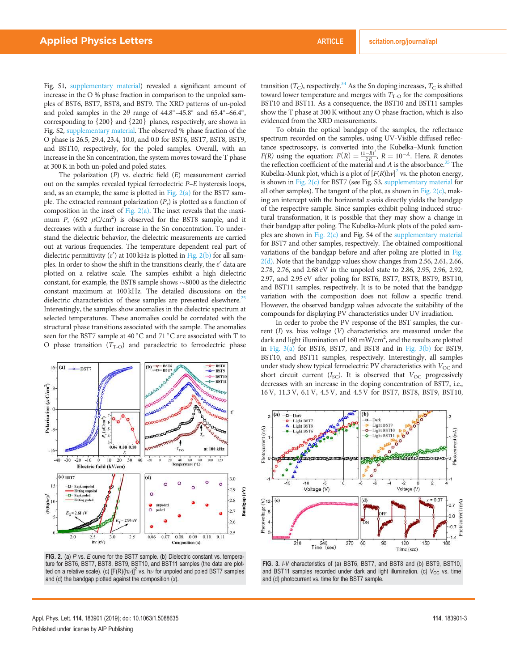Fig. S1, supplementary material) revealed a significant amount of increase in the O % phase fraction in comparison to the unpoled samples of BST6, BST7, BST8, and BST9. The XRD patterns of un-poled and poled samples in the  $2\theta$  range of  $44.8^{\circ}$ - $45.8^{\circ}$  and  $65.4^{\circ}$ - $66.4^{\circ}$ , corresponding to  ${200}$  and  ${220}$  planes, respectively, are shown in Fig. S2, supplementary material. The observed % phase fraction of the O phase is 26.5, 29.4, 23.4, 10.0, and 0.0 for BST6, BST7, BST8, BST9, and BST10, respectively, for the poled samples. Overall, with an increase in the Sn concentration, the system moves toward the T phase at 300 K in both un-poled and poled states.

The polarization  $(P)$  vs. electric field  $(E)$  measurement carried out on the samples revealed typical ferroelectric P–E hysteresis loops, and, as an example, the same is plotted in Fig.  $2(a)$  for the BST7 sample. The extracted remnant polarization  $(P_r)$  is plotted as a function of composition in the inset of Fig.  $2(a)$ . The inset reveals that the maximum  $P_r$  (6.92  $\mu$ C/cm<sup>2</sup>) is observed for the BST8 sample, and it decreases with a further increase in the Sn concentration. To understand the dielectric behavior, the dielectric measurements are carried out at various frequencies. The temperature dependent real part of dielectric permittivity  $(\varepsilon')$  at 100 kHz is plotted in Fig. 2(b) for all samples. In order to show the shift in the transitions clearly, the  $\varepsilon'$  data are plotted on a relative scale. The samples exhibit a high dielectric constant, for example, the BST8 sample shows  $\sim$ 8000 as the dielectric constant maximum at 100 kHz. The detailed discussions on the dielectric characteristics of these samples are presented elsewhere.<sup>25</sup> Interestingly, the samples show anomalies in the dielectric spectrum at selected temperatures. These anomalies could be correlated with the structural phase transitions associated with the sample. The anomalies seen for the BST7 sample at 40 °C and 71 °C are associated with T to O phase transition  $(T<sub>T-O</sub>)$  and paraelectric to ferroelectric phase



FIG. 2. (a) P vs. E curve for the BST7 sample. (b) Dielectric constant vs. temperature for BST6, BST7, BST8, BST9, BST10, and BST11 samples (the data are plotted on a relative scale). (c)  $[{\mathsf F}({\mathsf R})({\mathsf h}\nu)]^2$  vs.  ${\mathsf h}\nu$  for unpoled and poled BST7 samples and (d) the bandgap plotted against the composition  $(x)$ .

transition  $(T_C)$ , respectively.<sup>34</sup> As the Sn doping increases,  $T_C$  is shifted toward lower temperature and merges with  $T_{\text{T-O}}$  for the compositions BST10 and BST11. As a consequence, the BST10 and BST11 samples show the T phase at 300 K without any O phase fraction, which is also evidenced from the XRD measurements.

To obtain the optical bandgap of the samples, the reflectance spectrum recorded on the samples, using UV-Visible diffused reflectance spectroscopy, is converted into the Kubelka–Munk function  $F(R)$  using the equation:  $F(R) = \frac{(1-R)^2}{2R}$  $\frac{(-R)^2}{2R}$ ,  $R = 10^{-A}$ . Here, R denotes the reflection coefficient of the material and  $A$  is the absorbance.<sup>35</sup> The Kubelka-Munk plot, which is a plot of  $[F(R)hv]^2$  vs. the photon energy, is shown in Fig.  $2(c)$  for BST7 (see Fig. S3, supplementary material for all other samples). The tangent of the plot, as shown in Fig. 2(c), making an intercept with the horizontal x-axis directly yields the bandgap of the respective sample. Since samples exhibit poling induced structural transformation, it is possible that they may show a change in their bandgap after poling. The Kubelka-Munk plots of the poled samples are shown in Fig. 2(c) and Fig. S4 of the supplementary material for BST7 and other samples, respectively. The obtained compositional variations of the bandgap before and after poling are plotted in Fig. 2(d). Note that the bandgap values show changes from 2.56, 2.61, 2.66, 2.78, 2.76, and 2.68 eV in the unpoled state to 2.86, 2.95, 2.96, 2.92, 2.97, and 2.95 eV after poling for BST6, BST7, BST8, BST9, BST10, and BST11 samples, respectively. It is to be noted that the bandgap variation with the composition does not follow a specific trend. However, the observed bandgap values advocate the suitability of the compounds for displaying PV characteristics under UV irradiation.

In order to probe the PV response of the BST samples, the current  $(I)$  vs. bias voltage  $(V)$  characteristics are measured under the dark and light illumination of 160 mW/cm<sup>2</sup>, and the results are plotted in Fig. 3(a) for BST6, BST7, and BST8 and in Fig. 3(b) for BST9, BST10, and BST11 samples, respectively. Interestingly, all samples under study show typical ferroelectric PV characteristics with  $V_{OC}$  and short circuit current  $(I_{SC})$ . It is observed that  $V_{OC}$  progressively decreases with an increase in the doping concentration of BST7, i.e., 16 V, 11.3 V, 6.1 V, 4.5 V, and 4.5 V for BST7, BST8, BST9, BST10,



FIG. 3. I-V characteristics of (a) BST6, BST7, and BST8 and (b) BST9, BST10, and BST11 samples recorded under dark and light illumination. (c)  $V_{OC}$  vs. time and (d) photocurrent vs. time for the BST7 sample.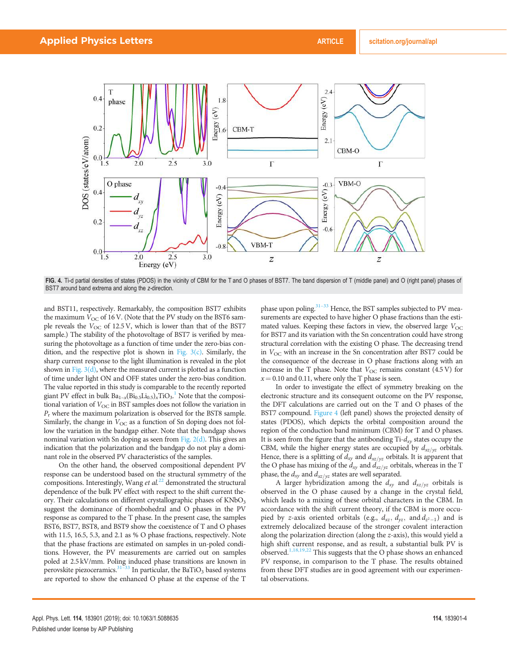

FIG. 4. Ti-d partial densities of states (PDOS) in the vicinity of CBM for the T and O phases of BST7. The band dispersion of T (middle panel) and O (right panel) phases of BST7 around band extrema and along the z-direction.

and BST11, respectively. Remarkably, the composition BST7 exhibits the maximum  $V_{OC}$  of 16 V. (Note that the PV study on the BST6 sample reveals the  $V_{\text{OC}}$  of 12.5 V, which is lower than that of the BST7 sample.) The stability of the photovoltage of BST7 is verified by measuring the photovoltage as a function of time under the zero-bias condition, and the respective plot is shown in Fig.  $3(c)$ . Similarly, the sharp current response to the light illumination is revealed in the plot shown in Fig. 3(d), where the measured current is plotted as a function of time under light ON and OFF states under the zero-bias condition. The value reported in this study is comparable to the recently reported giant PV effect in bulk  $Ba_{1-x}(Bi_{0.5}Li_{0.5})_x^TIO_3.$ <sup>1</sup> Note that the compositional variation of  $V_{OC}$  in BST samples does not follow the variation in  $P_r$  where the maximum polarization is observed for the BST8 sample. Similarly, the change in  $V_{\text{OC}}$  as a function of Sn doping does not follow the variation in the bandgap either. Note that the bandgap shows nominal variation with Sn doping as seen from Fig.  $2(d)$ . This gives an indication that the polarization and the bandgap do not play a dominant role in the observed PV characteristics of the samples.

On the other hand, the observed compositional dependent PV response can be understood based on the structural symmetry of the compositions. Interestingly, Wang et  $al^{22}$  demonstrated the structural dependence of the bulk PV effect with respect to the shift current theory. Their calculations on different crystallographic phases of  $KNbO<sub>3</sub>$ suggest the dominance of rhombohedral and O phases in the PV response as compared to the T phase. In the present case, the samples BST6, BST7, BST8, and BST9 show the coexistence of T and O phases with 11.5, 16.5, 5.3, and 2.1 as % O phase fractions, respectively. Note that the phase fractions are estimated on samples in un-poled conditions. However, the PV measurements are carried out on samples poled at 2.5 kV/mm. Poling induced phase transitions are known in perovskite piezoceramics. $31\overline{33}$  In particular, the BaTiO<sub>3</sub> based systems are reported to show the enhanced O phase at the expense of the T phase upon poling.<sup>31–33</sup> Hence, the BST samples subjected to PV measurements are expected to have higher O phase fractions than the estimated values. Keeping these factors in view, the observed large  $V_{\text{OC}}$ for BST7 and its variation with the Sn concentration could have strong structural correlation with the existing O phase. The decreasing trend in  $V_{\text{OC}}$  with an increase in the Sn concentration after BST7 could be the consequence of the decrease in O phase fractions along with an increase in the T phase. Note that  $V_{OC}$  remains constant (4.5 V) for  $x = 0.10$  and 0.11, where only the T phase is seen.

In order to investigate the effect of symmetry breaking on the electronic structure and its consequent outcome on the PV response, the DFT calculations are carried out on the T and O phases of the BST7 compound. Figure 4 (left panel) shows the projected density of states (PDOS), which depicts the orbital composition around the region of the conduction band minimum (CBM) for T and O phases. It is seen from the figure that the antibonding  $Ti-d_{xy}$  states occupy the CBM, while the higher energy states are occupied by  $d_{xz/yz}$  orbitals. Hence, there is a splitting of  $d_{xy}$  and  $d_{xz/yz}$  orbitals. It is apparent that the O phase has mixing of the  $d_{xy}$  and  $d_{xz/yz}$  orbitals, whereas in the T phase, the  $d_{xy}$  and  $d_{xz/yz}$  states are well separated.

A larger hybridization among the  $d_{xy}$  and  $d_{xz/yz}$  orbitals is observed in the O phase caused by a change in the crystal field, which leads to a mixing of these orbital characters in the CBM. In accordance with the shift current theory, if the CBM is more occupied by z-axis oriented orbitals (e.g.,  $d_{xz}$ ,  $d_{yz}$ , and  $d_{z^2-1}$ ) and is extremely delocalized because of the stronger covalent interaction along the polarization direction (along the z-axis), this would yield a high shift current response, and as result, a substantial bulk PV is observed.<sup>1,18,19,22</sup> This suggests that the O phase shows an enhanced PV response, in comparison to the T phase. The results obtained from these DFT studies are in good agreement with our experimental observations.